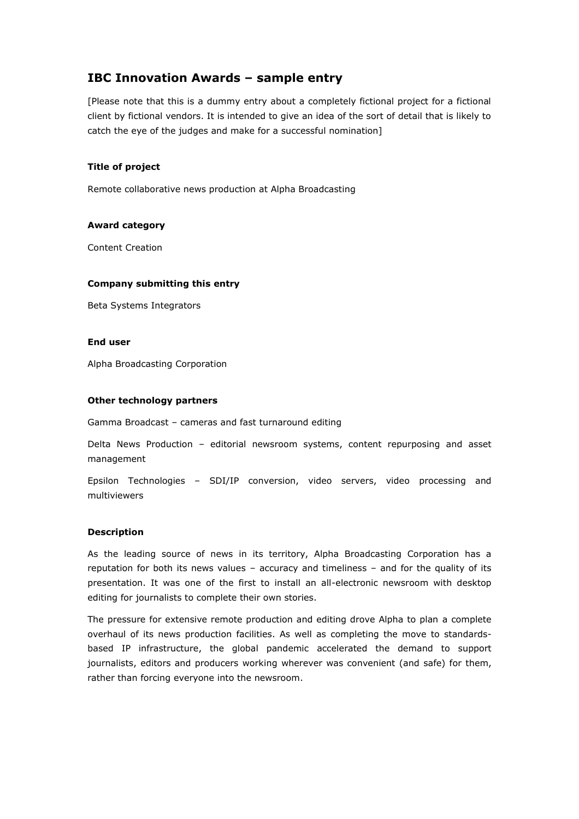# **IBC Innovation Awards – sample entry**

[Please note that this is a dummy entry about a completely fictional project for a fictional client by fictional vendors. It is intended to give an idea of the sort of detail that is likely to catch the eye of the judges and make for a successful nomination]

# **Title of project**

Remote collaborative news production at Alpha Broadcasting

# **Award category**

Content Creation

# **Company submitting this entry**

Beta Systems Integrators

#### **End user**

Alpha Broadcasting Corporation

# **Other technology partners**

Gamma Broadcast – cameras and fast turnaround editing

Delta News Production – editorial newsroom systems, content repurposing and asset management

Epsilon Technologies – SDI/IP conversion, video servers, video processing and multiviewers

# **Description**

As the leading source of news in its territory, Alpha Broadcasting Corporation has a reputation for both its news values – accuracy and timeliness – and for the quality of its presentation. It was one of the first to install an all-electronic newsroom with desktop editing for journalists to complete their own stories.

The pressure for extensive remote production and editing drove Alpha to plan a complete overhaul of its news production facilities. As well as completing the move to standardsbased IP infrastructure, the global pandemic accelerated the demand to support journalists, editors and producers working wherever was convenient (and safe) for them, rather than forcing everyone into the newsroom.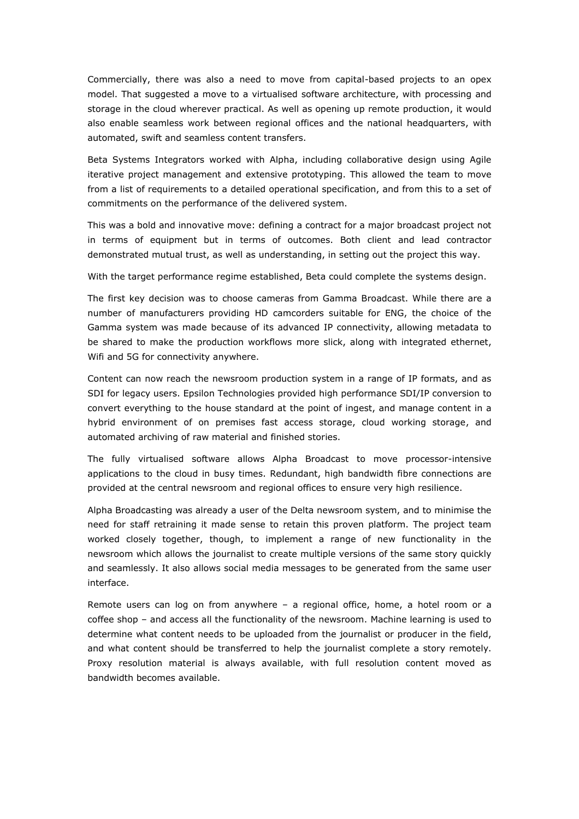Commercially, there was also a need to move from capital-based projects to an opex model. That suggested a move to a virtualised software architecture, with processing and storage in the cloud wherever practical. As well as opening up remote production, it would also enable seamless work between regional offices and the national headquarters, with automated, swift and seamless content transfers.

Beta Systems Integrators worked with Alpha, including collaborative design using Agile iterative project management and extensive prototyping. This allowed the team to move from a list of requirements to a detailed operational specification, and from this to a set of commitments on the performance of the delivered system.

This was a bold and innovative move: defining a contract for a major broadcast project not in terms of equipment but in terms of outcomes. Both client and lead contractor demonstrated mutual trust, as well as understanding, in setting out the project this way.

With the target performance regime established, Beta could complete the systems design.

The first key decision was to choose cameras from Gamma Broadcast. While there are a number of manufacturers providing HD camcorders suitable for ENG, the choice of the Gamma system was made because of its advanced IP connectivity, allowing metadata to be shared to make the production workflows more slick, along with integrated ethernet, Wifi and 5G for connectivity anywhere.

Content can now reach the newsroom production system in a range of IP formats, and as SDI for legacy users. Epsilon Technologies provided high performance SDI/IP conversion to convert everything to the house standard at the point of ingest, and manage content in a hybrid environment of on premises fast access storage, cloud working storage, and automated archiving of raw material and finished stories.

The fully virtualised software allows Alpha Broadcast to move processor-intensive applications to the cloud in busy times. Redundant, high bandwidth fibre connections are provided at the central newsroom and regional offices to ensure very high resilience.

Alpha Broadcasting was already a user of the Delta newsroom system, and to minimise the need for staff retraining it made sense to retain this proven platform. The project team worked closely together, though, to implement a range of new functionality in the newsroom which allows the journalist to create multiple versions of the same story quickly and seamlessly. It also allows social media messages to be generated from the same user interface.

Remote users can log on from anywhere – a regional office, home, a hotel room or a coffee shop – and access all the functionality of the newsroom. Machine learning is used to determine what content needs to be uploaded from the journalist or producer in the field, and what content should be transferred to help the journalist complete a story remotely. Proxy resolution material is always available, with full resolution content moved as bandwidth becomes available.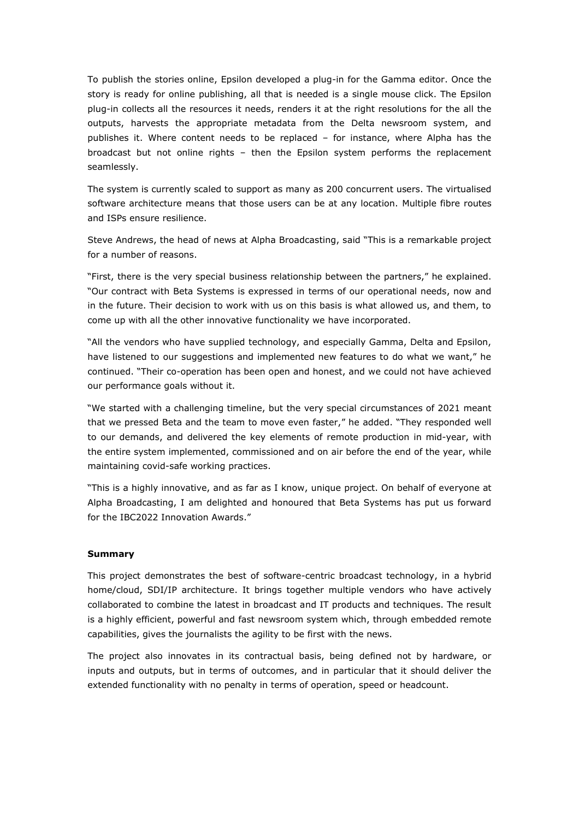To publish the stories online, Epsilon developed a plug-in for the Gamma editor. Once the story is ready for online publishing, all that is needed is a single mouse click. The Epsilon plug-in collects all the resources it needs, renders it at the right resolutions for the all the outputs, harvests the appropriate metadata from the Delta newsroom system, and publishes it. Where content needs to be replaced – for instance, where Alpha has the broadcast but not online rights – then the Epsilon system performs the replacement seamlessly.

The system is currently scaled to support as many as 200 concurrent users. The virtualised software architecture means that those users can be at any location. Multiple fibre routes and ISPs ensure resilience.

Steve Andrews, the head of news at Alpha Broadcasting, said "This is a remarkable project for a number of reasons.

"First, there is the very special business relationship between the partners," he explained. "Our contract with Beta Systems is expressed in terms of our operational needs, now and in the future. Their decision to work with us on this basis is what allowed us, and them, to come up with all the other innovative functionality we have incorporated.

"All the vendors who have supplied technology, and especially Gamma, Delta and Epsilon, have listened to our suggestions and implemented new features to do what we want," he continued. "Their co-operation has been open and honest, and we could not have achieved our performance goals without it.

"We started with a challenging timeline, but the very special circumstances of 2021 meant that we pressed Beta and the team to move even faster," he added. "They responded well to our demands, and delivered the key elements of remote production in mid-year, with the entire system implemented, commissioned and on air before the end of the year, while maintaining covid-safe working practices.

"This is a highly innovative, and as far as I know, unique project. On behalf of everyone at Alpha Broadcasting, I am delighted and honoured that Beta Systems has put us forward for the IBC2022 Innovation Awards."

# **Summary**

This project demonstrates the best of software-centric broadcast technology, in a hybrid home/cloud, SDI/IP architecture. It brings together multiple vendors who have actively collaborated to combine the latest in broadcast and IT products and techniques. The result is a highly efficient, powerful and fast newsroom system which, through embedded remote capabilities, gives the journalists the agility to be first with the news.

The project also innovates in its contractual basis, being defined not by hardware, or inputs and outputs, but in terms of outcomes, and in particular that it should deliver the extended functionality with no penalty in terms of operation, speed or headcount.